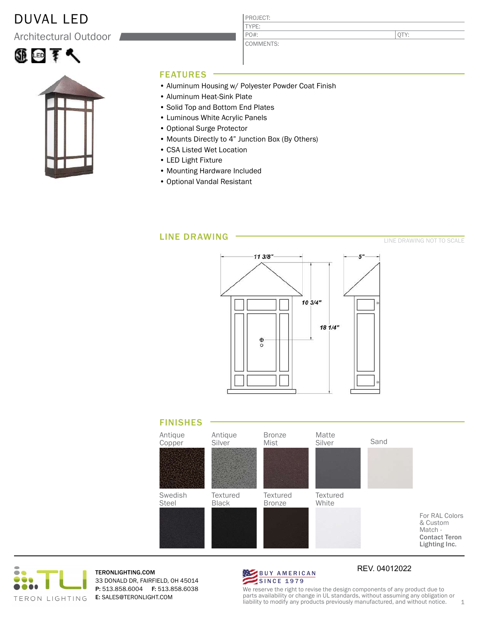## DUVAL LED

Architectural Outdoor





#### PROJECT: TYPE: PO#:

COMMENTS:

QTY:

## FEATURES

- Aluminum Housing w/ Polyester Powder Coat Finish
- Aluminum Heat-Sink Plate
- Solid Top and Bottom End Plates
- Luminous White Acrylic Panels
- Optional Surge Protector
- Mounts Directly to 4" Junction Box (By Others)
- CSA Listed Wet Location
- LED Light Fixture
- Mounting Hardware Included
- Optional Vandal Resistant

## LINE DRAWING

LINE DRAWING NOT TO SCALE







TERONLIGHTING.COM 33 DONALD DR, FAIRFIELD, OH 45014 P: 513.858.6004 F: 513.858.6038 E: SALES@TERONLIGHT.COM



REV. 04012022

We reserve the right to revise the design components of any product due to parts availability or change in UL standards, without assuming any obligation or liability to modify any products previously manufactured, and without notice. 1